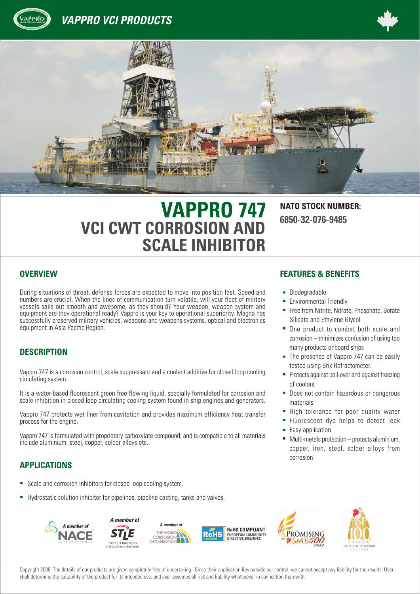





# **VAPPRO 747 NATO STOCK NUMBER: VCI CWT CORROSION AND SCALE INHIBITOR**

**6850-32-076-9485**

During situations of threat, defense forces are expected to move into position fast. Speed and numbers are crucial. When the lines of communication turn volatile, will your fleet of military vessels sails out smooth and awesome, as they should? Your weapon, weapon system and equipment are they operational ready? Vappro is your key to operational superiority. Magna has successfully preserved military vehicles, weapons and weapons systems, optical and electronics equipment in Asia Pacific Region.

### **DESCRIPTION**

Vappro 747 is a corrosion control, scale suppressant and a coolant additive for closed loop cooling circulating system.

It is a water-based fluorescent green free flowing liquid, specially formulated for corrosion and scale inhibition in closed loop circulating cooling system found in ship engines and generators.

Vappro 747 protects wet liner from cavitation and provides maximum efficiency heat transfer process for the engine.

Vappro 747 is formulated with proprietary carboxylate compound, and is compatible to all materials include aluminium, steel, copper, solder alloys etc.

### **APPLICATIONS**

- Scale and corrosion inhibitors for closed loop cooling system.
- Hydrostatic solution inhibitor for pipelines, pipeline casting, tanks and valves.

#### **OVERVIEW FEATURES & BENEFITS**

- **Biodegradable**
- **Environmental Friendly**
- **Free from Nitrite, Nitrate, Phosphate, Borate** Silicate and Ethylene Glycol
- One product to combat both scale and  $corrosion - minimizes confusion of using too$ many products onboard ships
- The presence of Vappro 747 can be easily tested using Brix Refractometer.
- **Protects against boil-over and against freezing** of coolant
- **Does not contain hazardous or dangerous** materials
- High tolerance for poor quality water
- **Fluorescent dye helps to detect leak**
- Fasy application
- $\blacksquare$  Multi-metals protection  $-$  protects aluminium, copper, iron, steel, solder alloys from corrosion



Copyright 2006. The details of our products are given completely free of undertaking. Since their application lies outside our control, we cannot accept any liability for the results. User shall determine the suitability of the product for its intended use, and user assumes all risk and liability whatsoever in connection therewith.